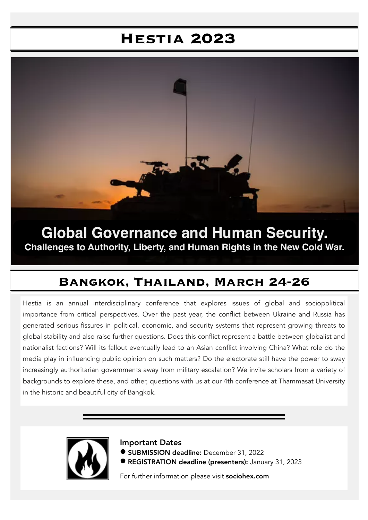## **Hestia 2023**



**Global Governance and Human Security. Challenges to Authority, Liberty, and Human Rights in the New Cold War.**

### **Bangkok, Thailand, March 24-26**

Hestia is an annual interdisciplinary conference that explores issues of global and sociopolitical importance from critical perspectives. Over the past year, the conflict between Ukraine and Russia has generated serious fissures in political, economic, and security systems that represent growing threats to global stability and also raise further questions. Does this conflict represent a battle between globalist and nationalist factions? Will its fallout eventually lead to an Asian conflict involving China? What role do the media play in influencing public opinion on such matters? Do the electorate still have the power to sway increasingly authoritarian governments away from military escalation? We invite scholars from a variety of backgrounds to explore these, and other, questions with us at our 4th conference at Thammasat University in the historic and beautiful city of Bangkok.



Important Dates

- **SUBMISSION deadline:** December 31, 2022
- **REGISTRATION deadline (presenters):** January 31, 2023

For further information please visit sociohex.com